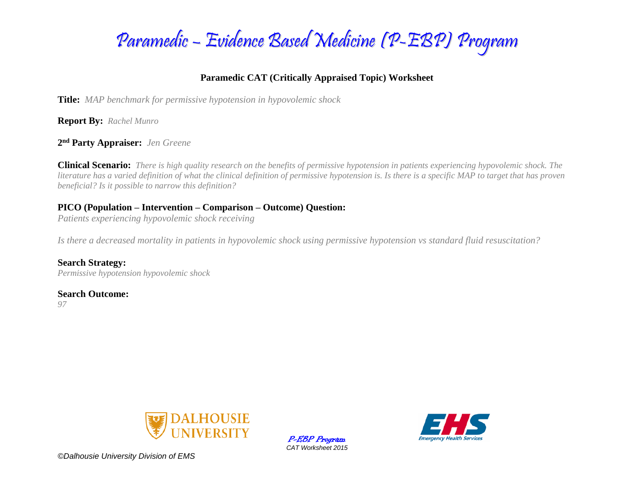

### **Paramedic CAT (Critically Appraised Topic) Worksheet**

**Title:** *MAP benchmark for permissive hypotension in hypovolemic shock*

**Report By:** *Rachel Munro* 

**2 nd Party Appraiser:** *Jen Greene*

**Clinical Scenario:** *There is high quality research on the benefits of permissive hypotension in patients experiencing hypovolemic shock. The literature has a varied definition of what the clinical definition of permissive hypotension is. Is there is a specific MAP to target that has proven beneficial? Is it possible to narrow this definition?* 

### **PICO (Population – Intervention – Comparison – Outcome) Question:**

*Patients experiencing hypovolemic shock receiving* 

*Is there a decreased mortality in patients in hypovolemic shock using permissive hypotension vs standard fluid resuscitation?* 

**Search Strategy:** *Permissive hypotension hypovolemic shock*

### **Search Outcome:**

*97*



P-EBP Program *CAT Worksheet 2015*



*©Dalhousie University Division of EMS*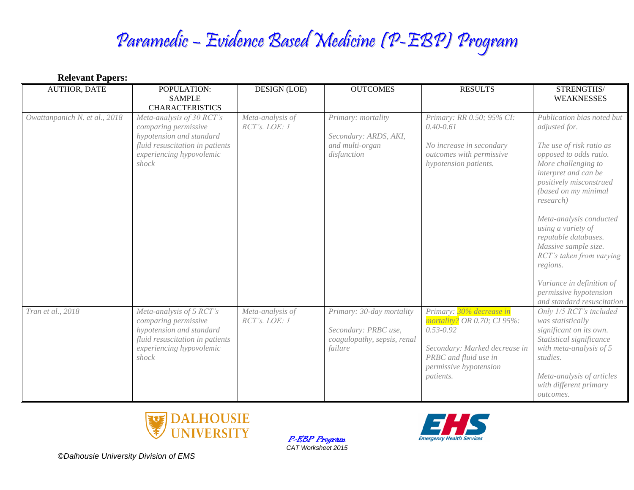# Paramedic – Evidence Based Medicine (P-EBP) Program

| <b>Relevant Papers:</b>       |                                                                                                                                                       |                                   |                                                                                             |                                                                                                                                                                           |                                                                                                                                                                                                                                                                                                                                                                                                                                                |  |
|-------------------------------|-------------------------------------------------------------------------------------------------------------------------------------------------------|-----------------------------------|---------------------------------------------------------------------------------------------|---------------------------------------------------------------------------------------------------------------------------------------------------------------------------|------------------------------------------------------------------------------------------------------------------------------------------------------------------------------------------------------------------------------------------------------------------------------------------------------------------------------------------------------------------------------------------------------------------------------------------------|--|
| <b>AUTHOR, DATE</b>           | POPULATION:<br><b>SAMPLE</b><br><b>CHARACTERISTICS</b>                                                                                                | <b>DESIGN (LOE)</b>               | <b>OUTCOMES</b>                                                                             | <b>RESULTS</b>                                                                                                                                                            | STRENGTHS/<br><b>WEAKNESSES</b>                                                                                                                                                                                                                                                                                                                                                                                                                |  |
| Owattanpanich N. et al., 2018 | Meta-analysis of 30 RCT's<br>comparing permissive<br>hypotension and standard<br>fluid resuscitation in patients<br>experiencing hypovolemic<br>shock | Meta-analysis of<br>RCT's. LOE: 1 | Primary: mortality<br>Secondary: ARDS, AKI,<br>and multi-organ<br>disfunction               | Primary: RR 0.50; 95% CI:<br>$0.40 - 0.61$<br>No increase in secondary<br>outcomes with permissive<br>hypotension patients.                                               | Publication bias noted but<br>adjusted for.<br>The use of risk ratio as<br>opposed to odds ratio.<br>More challenging to<br>interpret and can be<br>positively misconstrued<br>(based on my minimal<br>research)<br>Meta-analysis conducted<br>using a variety of<br>reputable databases.<br>Massive sample size.<br>RCT's taken from varying<br>regions.<br>Variance in definition of<br>permissive hypotension<br>and standard resuscitation |  |
| Tran et al., 2018             | Meta-analysis of 5 RCT's<br>comparing permissive<br>hypotension and standard<br>fluid resuscitation in patients<br>experiencing hypovolemic<br>shock  | Meta-analysis of<br>RCT's. LOE: 1 | Primary: 30-day mortality<br>Secondary: PRBC use,<br>coagulopathy, sepsis, renal<br>failure | Primary: 30% decrease in<br>mortality? OR 0.70; CI 95%:<br>$0.53 - 0.92$<br>Secondary: Marked decrease in<br>PRBC and fluid use in<br>permissive hypotension<br>patients. | Only 1/5 RCT's included<br>was statistically<br>significant on its own.<br>Statistical significance<br>with meta-analysis of $5$<br>studies.<br>Meta-analysis of articles<br>with different primary<br>outcomes.                                                                                                                                                                                                                               |  |



P-EBP Program *CAT Worksheet 2015*



*©Dalhousie University Division of EMS*